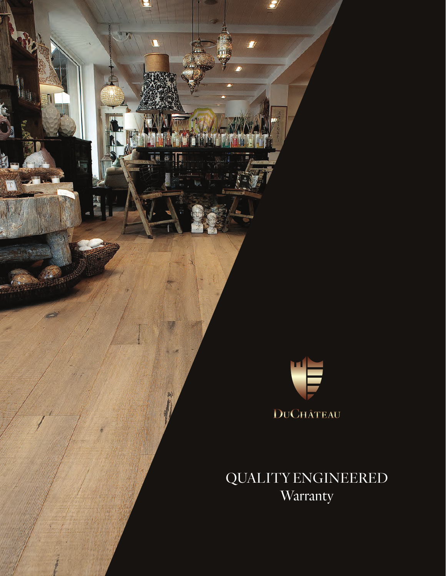

 $\overline{U}$ 

**Exp** 

 $\overline{\mathbf{L}}$ 

前山

QUALITY ENGINEERED **Warranty**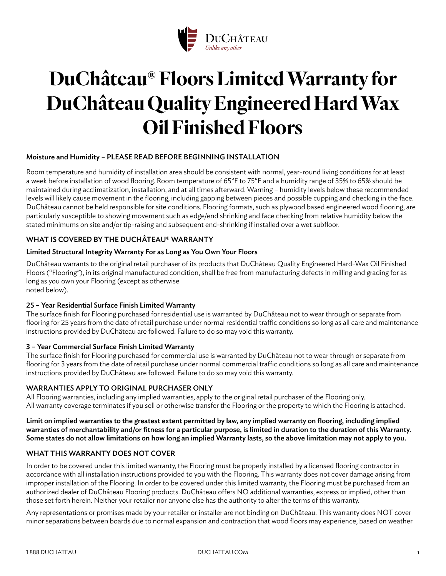

# **DuChâteau® Floors Limited Warranty for DuChâteau Quality Engineered Hard Wax Oil Finished Floors**

# Moisture and Humidity – PLEASE READ BEFORE BEGINNING INSTALLATION

Room temperature and humidity of installation area should be consistent with normal, year-round living conditions for at least a week before installation of wood flooring. Room temperature of 65°F to 75°F and a humidity range of 35% to 65% should be maintained during acclimatization, installation, and at all times afterward. Warning – humidity levels below these recommended levels will likely cause movement in the flooring, including gapping between pieces and possible cupping and checking in the face. DuChâteau cannot be held responsible for site conditions. Flooring formats, such as plywood based engineered wood flooring, are particularly susceptible to showing movement such as edge/end shrinking and face checking from relative humidity below the stated minimums on site and/or tip-raising and subsequent end-shrinking if installed over a wet subfloor.

# WHAT IS COVERED BY THE DUCHÂTEAU® WARRANTY

#### Limited Structural Integrity Warranty For as Long as You Own Your Floors

DuChâteau warrants to the original retail purchaser of its products that DuChâteau Quality Engineered Hard-Wax Oil Finished Floors ("Flooring"), in its original manufactured condition, shall be free from manufacturing defects in milling and grading for as long as you own your Flooring (except as otherwise noted below).

## 25 – Year Residential Surface Finish Limited Warranty

The surface finish for Flooring purchased for residential use is warranted by DuChâteau not to wear through or separate from flooring for 25 years from the date of retail purchase under normal residential traffic conditions so long as all care and maintenance instructions provided by DuChâteau are followed. Failure to do so may void this warranty.

#### 3 – Year Commercial Surface Finish Limited Warranty

The surface finish for Flooring purchased for commercial use is warranted by DuChâteau not to wear through or separate from flooring for 3 years from the date of retail purchase under normal commercial traffic conditions so long as all care and maintenance instructions provided by DuChâteau are followed. Failure to do so may void this warranty.

## WARRANTIES APPLY TO ORIGINAL PURCHASER ONLY

All Flooring warranties, including any implied warranties, apply to the original retail purchaser of the Flooring only. All warranty coverage terminates if you sell or otherwise transfer the Flooring or the property to which the Flooring is attached.

Limit on implied warranties to the greatest extent permitted by law, any implied warranty on flooring, including implied warranties of merchantability and/or fitness for a particular purpose, is limited in duration to the duration of this Warranty. Some states do not allow limitations on how long an implied Warranty lasts, so the above limitation may not apply to you.

## WHAT THIS WARRANTY DOES NOT COVER

In order to be covered under this limited warranty, the Flooring must be properly installed by a licensed flooring contractor in accordance with all installation instructions provided to you with the Flooring. This warranty does not cover damage arising from improper installation of the Flooring. In order to be covered under this limited warranty, the Flooring must be purchased from an authorized dealer of DuChâteau Flooring products. DuChâteau offers NO additional warranties, express or implied, other than those set forth herein. Neither your retailer nor anyone else has the authority to alter the terms of this warranty.

Any representations or promises made by your retailer or installer are not binding on DuChâteau. This warranty does NOT cover minor separations between boards due to normal expansion and contraction that wood floors may experience, based on weather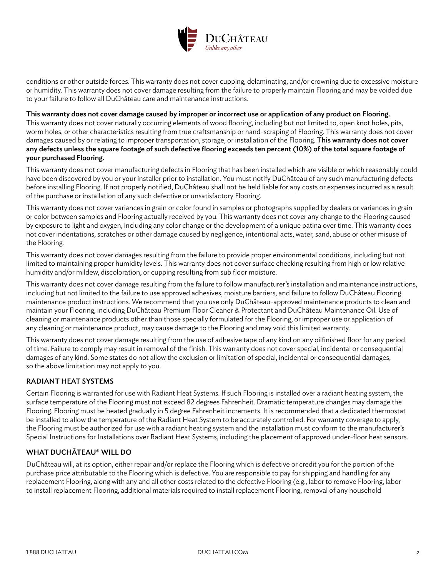

conditions or other outside forces. This warranty does not cover cupping, delaminating, and/or crowning due to excessive moisture or humidity. This warranty does not cover damage resulting from the failure to properly maintain Flooring and may be voided due to your failure to follow all DuChâteau care and maintenance instructions.

#### This warranty does not cover damage caused by improper or incorrect use or application of any product on Flooring.

This warranty does not cover naturally occurring elements of wood flooring, including but not limited to, open knot holes, pits, worm holes, or other characteristics resulting from true craftsmanship or hand-scraping of Flooring. This warranty does not cover damages caused by or relating to improper transportation, storage, or installation of the Flooring. This warranty does not cover any defects unless the square footage of such defective flooring exceeds ten percent (10%) of the total square footage of your purchased Flooring.

This warranty does not cover manufacturing defects in Flooring that has been installed which are visible or which reasonably could have been discovered by you or your installer prior to installation. You must notify DuChâteau of any such manufacturing defects before installing Flooring. If not properly notified, DuChâteau shall not be held liable for any costs or expenses incurred as a result of the purchase or installation of any such defective or unsatisfactory Flooring.

This warranty does not cover variances in grain or color found in samples or photographs supplied by dealers or variances in grain or color between samples and Flooring actually received by you. This warranty does not cover any change to the Flooring caused by exposure to light and oxygen, including any color change or the development of a unique patina over time. This warranty does not cover indentations, scratches or other damage caused by negligence, intentional acts, water, sand, abuse or other misuse of the Flooring.

This warranty does not cover damages resulting from the failure to provide proper environmental conditions, including but not limited to maintaining proper humidity levels. This warranty does not cover surface checking resulting from high or low relative humidity and/or mildew, discoloration, or cupping resulting from sub floor moisture.

This warranty does not cover damage resulting from the failure to follow manufacturer's installation and maintenance instructions, including but not limited to the failure to use approved adhesives, moisture barriers, and failure to follow DuChâteau Flooring maintenance product instructions. We recommend that you use only DuChâteau-approved maintenance products to clean and maintain your Flooring, including DuChâteau Premium Floor Cleaner & Protectant and DuChâteau Maintenance Oil. Use of cleaning or maintenance products other than those specially formulated for the Flooring, or improper use or application of any cleaning or maintenance product, may cause damage to the Flooring and may void this limited warranty.

This warranty does not cover damage resulting from the use of adhesive tape of any kind on any oilfinished floor for any period of time. Failure to comply may result in removal of the finish. This warranty does not cover special, incidental or consequential damages of any kind. Some states do not allow the exclusion or limitation of special, incidental or consequential damages, so the above limitation may not apply to you.

## RADIANT HEAT SYSTEMS

Certain Flooring is warranted for use with Radiant Heat Systems. If such Flooring is installed over a radiant heating system, the surface temperature of the Flooring must not exceed 82 degrees Fahrenheit. Dramatic temperature changes may damage the Flooring. Flooring must be heated gradually in 5 degree Fahrenheit increments. It is recommended that a dedicated thermostat be installed to allow the temperature of the Radiant Heat System to be accurately controlled. For warranty coverage to apply, the Flooring must be authorized for use with a radiant heating system and the installation must conform to the manufacturer's Special Instructions for Installations over Radiant Heat Systems, including the placement of approved under-floor heat sensors.

## WHAT DUCHÂTEAU® WILL DO

DuChâteau will, at its option, either repair and/or replace the Flooring which is defective or credit you for the portion of the purchase price attributable to the Flooring which is defective. You are responsible to pay for shipping and handling for any replacement Flooring, along with any and all other costs related to the defective Flooring (e.g., labor to remove Flooring, labor to install replacement Flooring, additional materials required to install replacement Flooring, removal of any household